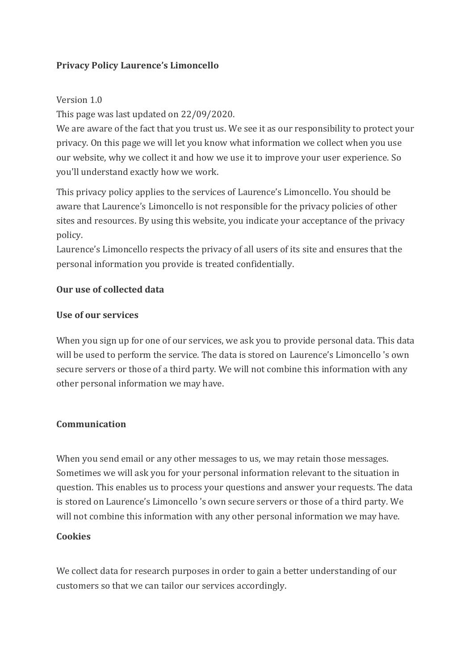## **Privacy Policy Laurence's Limoncello**

### Version 1.0

This page was last updated on 22/09/2020.

We are aware of the fact that you trust us. We see it as our responsibility to protect your privacy. On this page we will let you know what information we collect when you use our website, why we collect it and how we use it to improve your user experience. So you'll understand exactly how we work.

This privacy policy applies to the services of Laurence's Limoncello. You should be aware that Laurence's Limoncello is not responsible for the privacy policies of other sites and resources. By using this website, you indicate your acceptance of the privacy policy.

Laurence's Limoncello respects the privacy of all users of its site and ensures that the personal information you provide is treated confidentially.

### **Our use of collected data**

### **Use of our services**

When you sign up for one of our services, we ask you to provide personal data. This data will be used to perform the service. The data is stored on Laurence's Limoncello 's own secure servers or those of a third party. We will not combine this information with any other personal information we may have.

### **Communication**

When you send email or any other messages to us, we may retain those messages. Sometimes we will ask you for your personal information relevant to the situation in question. This enables us to process your questions and answer your requests. The data is stored on Laurence's Limoncello 's own secure servers or those of a third party. We will not combine this information with any other personal information we may have.

### **Cookies**

We collect data for research purposes in order to gain a better understanding of our customers so that we can tailor our services accordingly.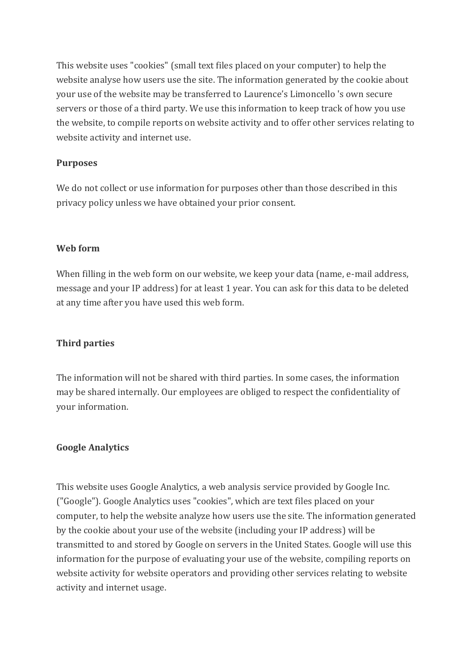This website uses "cookies" (small text files placed on your computer) to help the website analyse how users use the site. The information generated by the cookie about your use of the website may be transferred to Laurence's Limoncello 's own secure servers or those of a third party. We use this information to keep track of how you use the website, to compile reports on website activity and to offer other services relating to website activity and internet use.

## **Purposes**

We do not collect or use information for purposes other than those described in this privacy policy unless we have obtained your prior consent.

## **Web form**

When filling in the web form on our website, we keep your data (name, e-mail address, message and your IP address) for at least 1 year. You can ask for this data to be deleted at any time after you have used this web form.

# **Third parties**

The information will not be shared with third parties. In some cases, the information may be shared internally. Our employees are obliged to respect the confidentiality of your information.

## **Google Analytics**

This website uses Google Analytics, a web analysis service provided by Google Inc. ("Google"). Google Analytics uses "cookies", which are text files placed on your computer, to help the website analyze how users use the site. The information generated by the cookie about your use of the website (including your IP address) will be transmitted to and stored by Google on servers in the United States. Google will use this information for the purpose of evaluating your use of the website, compiling reports on website activity for website operators and providing other services relating to website activity and internet usage.